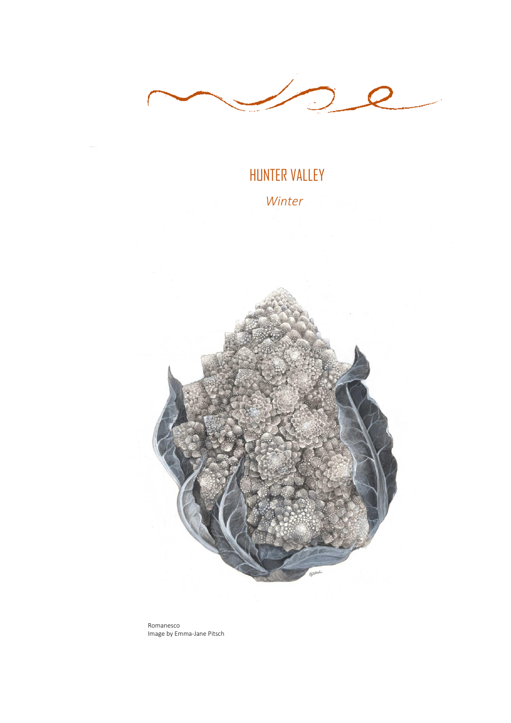

# HUNTER VALLEY

 *Winter*



Romanesco Image by Emma-Jane Pitsch